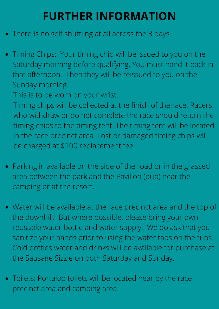## **FURTHER INFORMATION**

- There is no self shuttling at all across the 3 days
- Timing Chips: Your timing chip will be issued to you on the Saturday morning before qualifying. You must hand it back in that afternoon. Then they will be reissued to you on the Sunday morning.

This is to be worn on your wrist.

Timing chips will be collected at the finish of the race. Racers who withdraw or do not complete the race should return the timing chips to the timing tent. The timing tent will be located in the race precinct area. Lost or damaged timing chips will be charged at \$100 replacement fee.

- Parking in available on the side of the road or in the grassed area between the park and the Pavilion (pub) near the camping or at the resort.
- Water will be available at the race precinct area and the top of the downhill. But where possible, please bring your own reusable water bottle and water supply. We do ask that you sanitize your hands prior to using the water taps on the tubs. Cold bottles water and drinks will be available for purchase at the Sausage Sizzle on both Saturday and Sunday.
- Toilets: Portaloo toilets will be located near by the race precinct area and camping area.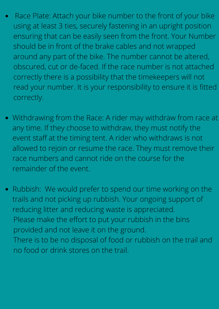- Race Plate: Attach your bike number to the front of your bike  $\bullet$ using at least 3 ties, securely fastening in an upright position ensuring that can be easily seen from the front. Your Number should be in front of the brake cables and not wrapped around any part of the bike. The number cannot be altered, obscured, cut or de-faced. If the race number is not attached correctly there is a possibility that the timekeepers will not read your number. It is your responsibility to ensure it is fitted correctly.
- Withdrawing from the Race: A rider may withdraw from race at any time. If they choose to withdraw, they must notify the event staff at the timing tent. A rider who withdraws is not allowed to rejoin or resume the race. They must remove their race numbers and cannot ride on the course for the remainder of the event.
- Rubbish: We would prefer to spend our time working on the trails and not picking up rubbish. Your ongoing support of reducing litter and reducing waste is appreciated. Please make the effort to put your rubbish in the bins provided and not leave it on the ground. There is to be no disposal of food or rubbish on the trail and no food or drink stores on the trail.